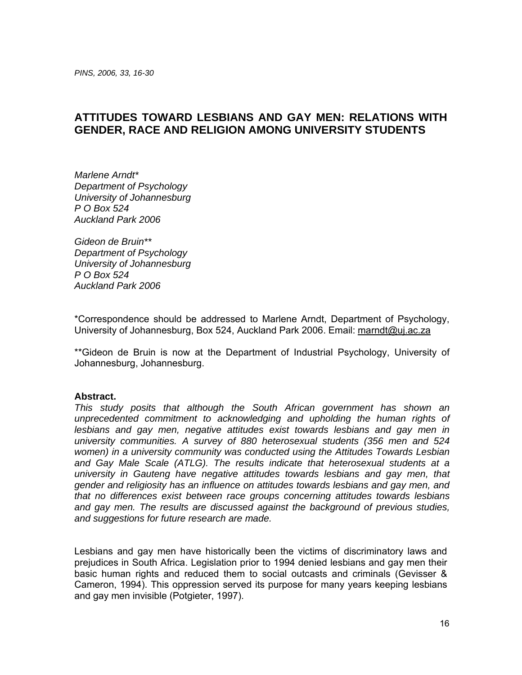# **ATTITUDES TOWARD LESBIANS AND GAY MEN: RELATIONS WITH GENDER, RACE AND RELIGION AMONG UNIVERSITY STUDENTS**

*Marlene Arndt\* Department of Psychology University of Johannesburg P O Box 524 Auckland Park 2006* 

*Gideon de Bruin\*\* Department of Psychology University of Johannesburg P O Box 524 Auckland Park 2006* 

\*Correspondence should be addressed to Marlene Arndt, Department of Psychology, University of Johannesburg, Box 524, Auckland Park 2006. Email: marndt@uj.ac.za

\*\*Gideon de Bruin is now at the Department of Industrial Psychology, University of Johannesburg, Johannesburg.

## **Abstract.**

*This study posits that although the South African government has shown an unprecedented commitment to acknowledging and upholding the human rights of lesbians and gay men, negative attitudes exist towards lesbians and gay men in university communities. A survey of 880 heterosexual students (356 men and 524 women) in a university community was conducted using the Attitudes Towards Lesbian and Gay Male Scale (ATLG). The results indicate that heterosexual students at a university in Gauteng have negative attitudes towards lesbians and gay men, that gender and religiosity has an influence on attitudes towards lesbians and gay men, and that no differences exist between race groups concerning attitudes towards lesbians and gay men. The results are discussed against the background of previous studies, and suggestions for future research are made.* 

Lesbians and gay men have historically been the victims of discriminatory laws and prejudices in South Africa. Legislation prior to 1994 denied lesbians and gay men their basic human rights and reduced them to social outcasts and criminals (Gevisser & Cameron, 1994). This oppression served its purpose for many years keeping lesbians and gay men invisible (Potgieter, 1997).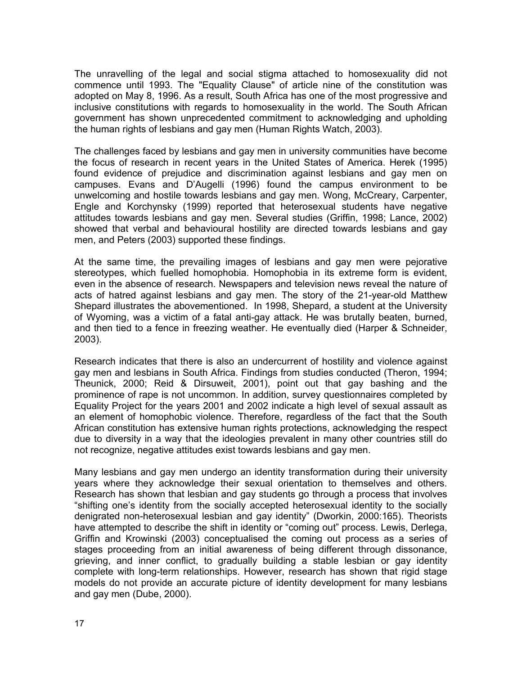The unravelling of the legal and social stigma attached to homosexuality did not commence until 1993. The "Equality Clause" of article nine of the constitution was adopted on May 8, 1996. As a result, South Africa has one of the most progressive and inclusive constitutions with regards to homosexuality in the world. The South African government has shown unprecedented commitment to acknowledging and upholding the human rights of lesbians and gay men (Human Rights Watch, 2003).

The challenges faced by lesbians and gay men in university communities have become the focus of research in recent years in the United States of America. Herek (1995) found evidence of prejudice and discrimination against lesbians and gay men on campuses. Evans and D'Augelli (1996) found the campus environment to be unwelcoming and hostile towards lesbians and gay men. Wong, McCreary, Carpenter, Engle and Korchynsky (1999) reported that heterosexual students have negative attitudes towards lesbians and gay men. Several studies (Griffin, 1998; Lance, 2002) showed that verbal and behavioural hostility are directed towards lesbians and gay men, and Peters (2003) supported these findings.

At the same time, the prevailing images of lesbians and gay men were pejorative stereotypes, which fuelled homophobia. Homophobia in its extreme form is evident, even in the absence of research. Newspapers and television news reveal the nature of acts of hatred against lesbians and gay men. The story of the 21-year-old Matthew Shepard illustrates the abovementioned. In 1998, Shepard, a student at the University of Wyoming, was a victim of a fatal anti-gay attack. He was brutally beaten, burned, and then tied to a fence in freezing weather. He eventually died (Harper & Schneider, 2003).

Research indicates that there is also an undercurrent of hostility and violence against gay men and lesbians in South Africa. Findings from studies conducted (Theron, 1994; Theunick, 2000; Reid & Dirsuweit, 2001), point out that gay bashing and the prominence of rape is not uncommon. In addition, survey questionnaires completed by Equality Project for the years 2001 and 2002 indicate a high level of sexual assault as an element of homophobic violence. Therefore, regardless of the fact that the South African constitution has extensive human rights protections, acknowledging the respect due to diversity in a way that the ideologies prevalent in many other countries still do not recognize, negative attitudes exist towards lesbians and gay men.

Many lesbians and gay men undergo an identity transformation during their university years where they acknowledge their sexual orientation to themselves and others. Research has shown that lesbian and gay students go through a process that involves "shifting one's identity from the socially accepted heterosexual identity to the socially denigrated non-heterosexual lesbian and gay identity" (Dworkin, 2000:165). Theorists have attempted to describe the shift in identity or "coming out" process. Lewis, Derlega, Griffin and Krowinski (2003) conceptualised the coming out process as a series of stages proceeding from an initial awareness of being different through dissonance, grieving, and inner conflict, to gradually building a stable lesbian or gay identity complete with long-term relationships. However, research has shown that rigid stage models do not provide an accurate picture of identity development for many lesbians and gay men (Dube, 2000).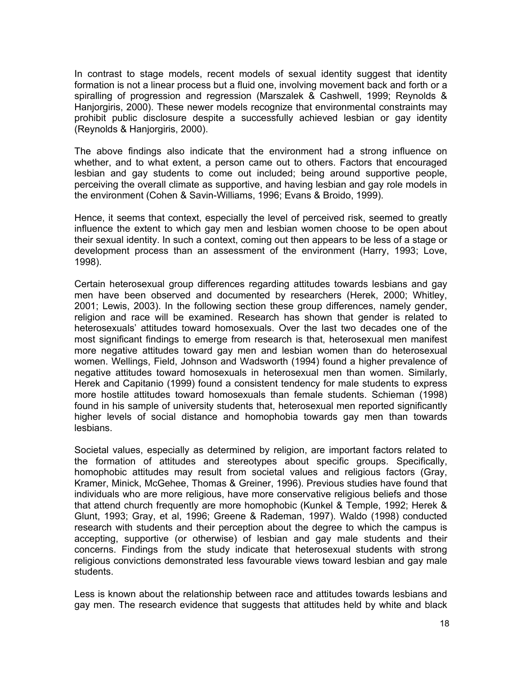In contrast to stage models, recent models of sexual identity suggest that identity formation is not a linear process but a fluid one, involving movement back and forth or a spiralling of progression and regression (Marszalek & Cashwell, 1999; Reynolds & Hanjorgiris, 2000). These newer models recognize that environmental constraints may prohibit public disclosure despite a successfully achieved lesbian or gay identity (Reynolds & Hanjorgiris, 2000).

The above findings also indicate that the environment had a strong influence on whether, and to what extent, a person came out to others. Factors that encouraged lesbian and gay students to come out included; being around supportive people, perceiving the overall climate as supportive, and having lesbian and gay role models in the environment (Cohen & Savin-Williams, 1996; Evans & Broido, 1999).

Hence, it seems that context, especially the level of perceived risk, seemed to greatly influence the extent to which gay men and lesbian women choose to be open about their sexual identity. In such a context, coming out then appears to be less of a stage or development process than an assessment of the environment (Harry, 1993; Love, 1998).

Certain heterosexual group differences regarding attitudes towards lesbians and gay men have been observed and documented by researchers (Herek, 2000; Whitley, 2001; Lewis, 2003). In the following section these group differences, namely gender, religion and race will be examined. Research has shown that gender is related to heterosexuals' attitudes toward homosexuals. Over the last two decades one of the most significant findings to emerge from research is that, heterosexual men manifest more negative attitudes toward gay men and lesbian women than do heterosexual women. Wellings, Field, Johnson and Wadsworth (1994) found a higher prevalence of negative attitudes toward homosexuals in heterosexual men than women. Similarly, Herek and Capitanio (1999) found a consistent tendency for male students to express more hostile attitudes toward homosexuals than female students. Schieman (1998) found in his sample of university students that, heterosexual men reported significantly higher levels of social distance and homophobia towards gay men than towards lesbians.

Societal values, especially as determined by religion, are important factors related to the formation of attitudes and stereotypes about specific groups. Specifically, homophobic attitudes may result from societal values and religious factors (Gray, Kramer, Minick, McGehee, Thomas & Greiner, 1996). Previous studies have found that individuals who are more religious, have more conservative religious beliefs and those that attend church frequently are more homophobic (Kunkel & Temple, 1992; Herek & Glunt, 1993; Gray, et al, 1996; Greene & Rademan, 1997). Waldo (1998) conducted research with students and their perception about the degree to which the campus is accepting, supportive (or otherwise) of lesbian and gay male students and their concerns. Findings from the study indicate that heterosexual students with strong religious convictions demonstrated less favourable views toward lesbian and gay male students.

Less is known about the relationship between race and attitudes towards lesbians and gay men. The research evidence that suggests that attitudes held by white and black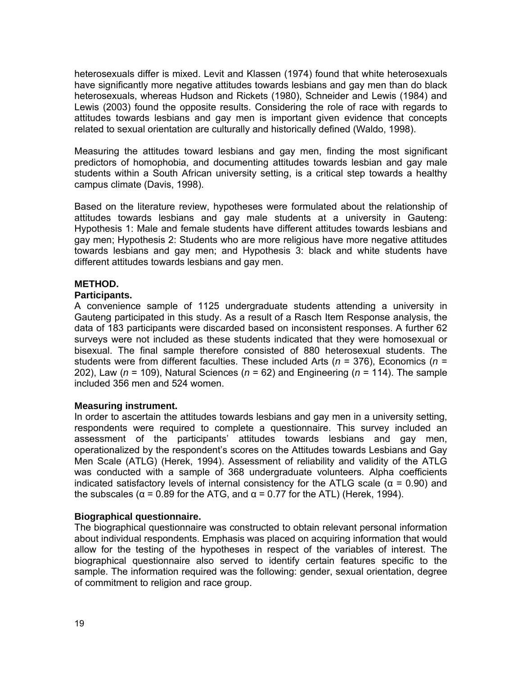heterosexuals differ is mixed. Levit and Klassen (1974) found that white heterosexuals have significantly more negative attitudes towards lesbians and gay men than do black heterosexuals, whereas Hudson and Rickets (1980), Schneider and Lewis (1984) and Lewis (2003) found the opposite results. Considering the role of race with regards to attitudes towards lesbians and gay men is important given evidence that concepts related to sexual orientation are culturally and historically defined (Waldo, 1998).

Measuring the attitudes toward lesbians and gay men, finding the most significant predictors of homophobia, and documenting attitudes towards lesbian and gay male students within a South African university setting, is a critical step towards a healthy campus climate (Davis, 1998).

Based on the literature review, hypotheses were formulated about the relationship of attitudes towards lesbians and gay male students at a university in Gauteng: Hypothesis 1: Male and female students have different attitudes towards lesbians and gay men; Hypothesis 2: Students who are more religious have more negative attitudes towards lesbians and gay men; and Hypothesis 3: black and white students have different attitudes towards lesbians and gay men.

## **METHOD.**

## **Participants.**

A convenience sample of 1125 undergraduate students attending a university in Gauteng participated in this study. As a result of a Rasch Item Response analysis, the data of 183 participants were discarded based on inconsistent responses. A further 62 surveys were not included as these students indicated that they were homosexual or bisexual. The final sample therefore consisted of 880 heterosexual students. The students were from different faculties. These included Arts (*n* = 376), Economics (*n* = 202), Law (*n* = 109), Natural Sciences (*n* = 62) and Engineering (*n* = 114). The sample included 356 men and 524 women.

## **Measuring instrument.**

In order to ascertain the attitudes towards lesbians and gay men in a university setting, respondents were required to complete a questionnaire. This survey included an assessment of the participants' attitudes towards lesbians and gay men, operationalized by the respondent's scores on the Attitudes towards Lesbians and Gay Men Scale (ATLG) (Herek, 1994). Assessment of reliability and validity of the ATLG was conducted with a sample of 368 undergraduate volunteers. Alpha coefficients indicated satisfactory levels of internal consistency for the ATLG scale ( $\alpha$  = 0.90) and the subscales ( $\alpha$  = 0.89 for the ATG, and  $\alpha$  = 0.77 for the ATL) (Herek, 1994).

## **Biographical questionnaire.**

The biographical questionnaire was constructed to obtain relevant personal information about individual respondents. Emphasis was placed on acquiring information that would allow for the testing of the hypotheses in respect of the variables of interest. The biographical questionnaire also served to identify certain features specific to the sample. The information required was the following: gender, sexual orientation, degree of commitment to religion and race group.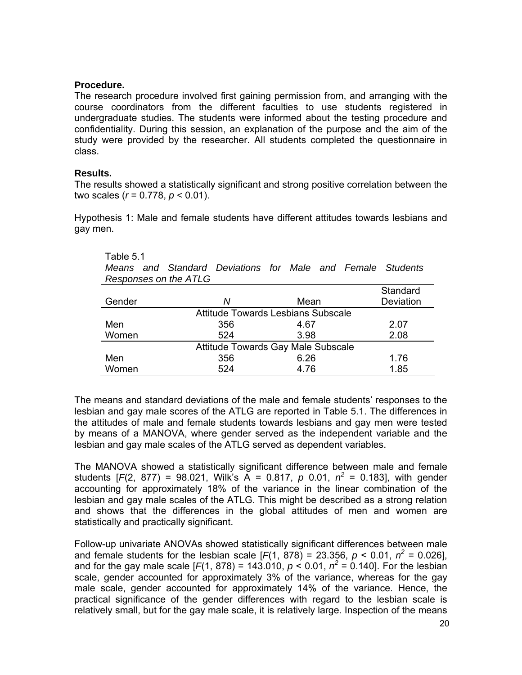## **Procedure.**

The research procedure involved first gaining permission from, and arranging with the course coordinators from the different faculties to use students registered in undergraduate studies. The students were informed about the testing procedure and confidentiality. During this session, an explanation of the purpose and the aim of the study were provided by the researcher. All students completed the questionnaire in class.

## **Results.**

The results showed a statistically significant and strong positive correlation between the two scales (*r* = 0.778, *p <* 0.01).

Hypothesis 1: Male and female students have different attitudes towards lesbians and gay men.

## Table 5.1

*Means and Standard Deviations for Male and Female Students Responses on the ATLG* 

|                                    |     |      | Standard  |  |  |  |
|------------------------------------|-----|------|-----------|--|--|--|
| Gender                             | Ν   | Mean | Deviation |  |  |  |
| Attitude Towards Lesbians Subscale |     |      |           |  |  |  |
| Men                                | 356 | 4.67 | 2.07      |  |  |  |
| Women                              | 524 | 3.98 | 2.08      |  |  |  |
| Attitude Towards Gay Male Subscale |     |      |           |  |  |  |
| Men                                | 356 | 6.26 | 1.76      |  |  |  |
| Women                              | 524 | 4.76 | 1.85      |  |  |  |

The means and standard deviations of the male and female students' responses to the lesbian and gay male scores of the ATLG are reported in Table 5.1. The differences in the attitudes of male and female students towards lesbians and gay men were tested by means of a MANOVA, where gender served as the independent variable and the lesbian and gay male scales of the ATLG served as dependent variables.

The MANOVA showed a statistically significant difference between male and female students  $[F(2, 877) = 98.021$ , Wilk's A = 0.817, p 0.01,  $n^2 = 0.183$ , with gender accounting for approximately 18% of the variance in the linear combination of the lesbian and gay male scales of the ATLG. This might be described as a strong relation and shows that the differences in the global attitudes of men and women are statistically and practically significant.

Follow-up univariate ANOVAs showed statistically significant differences between male and female students for the lesbian scale  $[F(1, 878) = 23.356, p < 0.01, n^2 = 0.026]$ , and for the gay male scale  $[F(1, 878) = 143.010, p < 0.01, n^2 = 0.140]$ . For the lesbian scale, gender accounted for approximately 3% of the variance, whereas for the gay male scale, gender accounted for approximately 14% of the variance. Hence, the practical significance of the gender differences with regard to the lesbian scale is relatively small, but for the gay male scale, it is relatively large. Inspection of the means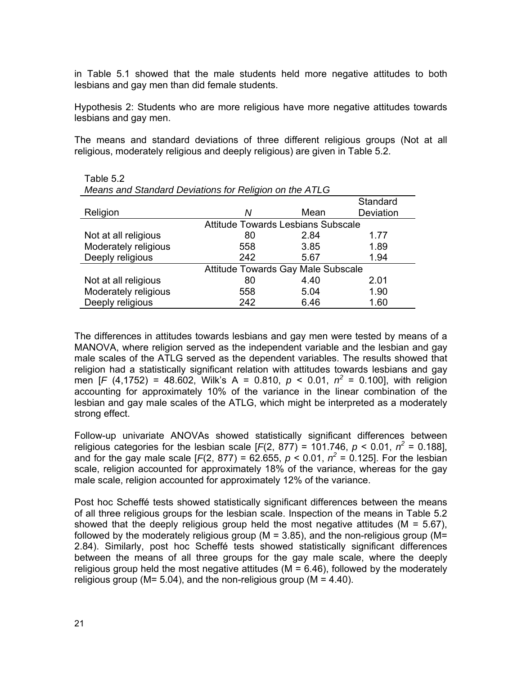in Table 5.1 showed that the male students held more negative attitudes to both lesbians and gay men than did female students.

Hypothesis 2: Students who are more religious have more negative attitudes towards lesbians and gay men.

The means and standard deviations of three different religious groups (Not at all religious, moderately religious and deeply religious) are given in Table 5.2.

| Means and Standard Deviations for Religion on the ATLG |                                           |      |           |  |  |  |
|--------------------------------------------------------|-------------------------------------------|------|-----------|--|--|--|
|                                                        |                                           |      | Standard  |  |  |  |
| Religion                                               | Ν                                         | Mean | Deviation |  |  |  |
|                                                        | <b>Attitude Towards Lesbians Subscale</b> |      |           |  |  |  |
| Not at all religious                                   | 80                                        | 2.84 | 1.77      |  |  |  |
| Moderately religious                                   | 558                                       | 3.85 | 1.89      |  |  |  |
| Deeply religious                                       | 242                                       | 5.67 | 1.94      |  |  |  |
|                                                        | Attitude Towards Gay Male Subscale        |      |           |  |  |  |
| Not at all religious                                   | 80                                        | 4.40 | 2.01      |  |  |  |
| Moderately religious                                   | 558                                       | 5.04 | 1.90      |  |  |  |
| Deeply religious                                       | 242                                       | 6.46 | 1.60      |  |  |  |

| Table 5.2                                              |
|--------------------------------------------------------|
| Means and Standard Deviations for Religion on the ATLG |

The differences in attitudes towards lesbians and gay men were tested by means of a MANOVA, where religion served as the independent variable and the lesbian and gay male scales of the ATLG served as the dependent variables. The results showed that religion had a statistically significant relation with attitudes towards lesbians and gay men [*F* (4,1752) = 48.602, Wilk's A = 0.810,  $p < 0.01$ ,  $n^2 = 0.100$ ], with religion accounting for approximately 10% of the variance in the linear combination of the lesbian and gay male scales of the ATLG, which might be interpreted as a moderately strong effect.

Follow-up univariate ANOVAs showed statistically significant differences between religious categories for the lesbian scale  $[F(2, 877) = 101.746, p < 0.01, n^2 = 0.188]$ , and for the gay male scale  $[F(2, 877) = 62.655, p < 0.01, n^2 = 0.125]$ . For the lesbian scale, religion accounted for approximately 18% of the variance, whereas for the gay male scale, religion accounted for approximately 12% of the variance.

Post hoc Scheffé tests showed statistically significant differences between the means of all three religious groups for the lesbian scale. Inspection of the means in Table 5.2 showed that the deeply religious group held the most negative attitudes ( $M = 5.67$ ), followed by the moderately religious group ( $M = 3.85$ ), and the non-religious group ( $M =$ 2.84). Similarly, post hoc Scheffé tests showed statistically significant differences between the means of all three groups for the gay male scale, where the deeply religious group held the most negative attitudes  $(M = 6.46)$ , followed by the moderately religious group ( $M = 5.04$ ), and the non-religious group ( $M = 4.40$ ).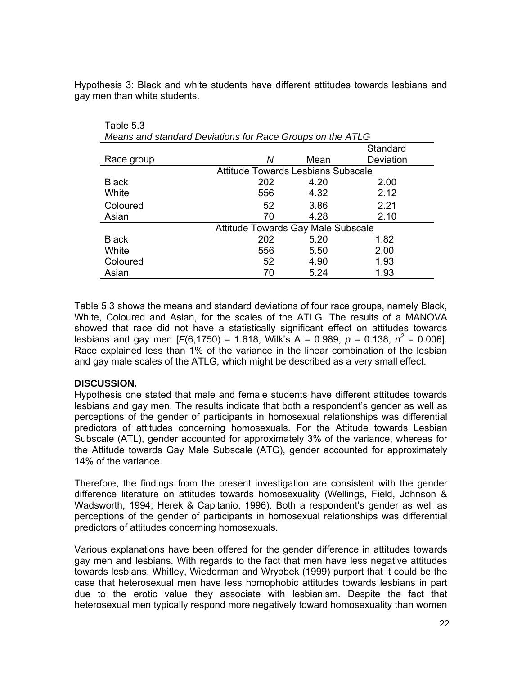Hypothesis 3: Black and white students have different attitudes towards lesbians and gay men than white students.

| Means and standard Deviations for Race Groups on the ATLG |                                    |      |           |  |  |
|-----------------------------------------------------------|------------------------------------|------|-----------|--|--|
|                                                           |                                    |      | Standard  |  |  |
| Race group                                                | Ν                                  | Mean | Deviation |  |  |
|                                                           | Attitude Towards Lesbians Subscale |      |           |  |  |
| <b>Black</b>                                              | 202                                | 4.20 | 2.00      |  |  |
| White                                                     | 556                                | 4.32 | 2.12      |  |  |
| Coloured                                                  | 52                                 | 3.86 | 2.21      |  |  |
| Asian                                                     | 70                                 | 4.28 | 2.10      |  |  |
|                                                           | Attitude Towards Gay Male Subscale |      |           |  |  |
| <b>Black</b>                                              | 202                                | 5.20 | 1.82      |  |  |
| White                                                     | 556                                | 5.50 | 2.00      |  |  |
| Coloured                                                  | 52                                 | 4.90 | 1.93      |  |  |
| Asian                                                     | 70                                 | 5.24 | 1.93      |  |  |

Table 5.3 shows the means and standard deviations of four race groups, namely Black, White, Coloured and Asian, for the scales of the ATLG. The results of a MANOVA showed that race did not have a statistically significant effect on attitudes towards lesbians and gay men [ $F(6,1750) = 1.618$ , Wilk's A = 0.989,  $p = 0.138$ ,  $n^2 = 0.006$ ]. Race explained less than 1% of the variance in the linear combination of the lesbian and gay male scales of the ATLG, which might be described as a very small effect.

# **DISCUSSION.**

Table 5.3

Hypothesis one stated that male and female students have different attitudes towards lesbians and gay men. The results indicate that both a respondent's gender as well as perceptions of the gender of participants in homosexual relationships was differential predictors of attitudes concerning homosexuals. For the Attitude towards Lesbian Subscale (ATL), gender accounted for approximately 3% of the variance, whereas for the Attitude towards Gay Male Subscale (ATG), gender accounted for approximately 14% of the variance.

Therefore, the findings from the present investigation are consistent with the gender difference literature on attitudes towards homosexuality (Wellings, Field, Johnson & Wadsworth, 1994; Herek & Capitanio, 1996). Both a respondent's gender as well as perceptions of the gender of participants in homosexual relationships was differential predictors of attitudes concerning homosexuals.

Various explanations have been offered for the gender difference in attitudes towards gay men and lesbians. With regards to the fact that men have less negative attitudes towards lesbians, Whitley, Wiederman and Wryobek (1999) purport that it could be the case that heterosexual men have less homophobic attitudes towards lesbians in part due to the erotic value they associate with lesbianism. Despite the fact that heterosexual men typically respond more negatively toward homosexuality than women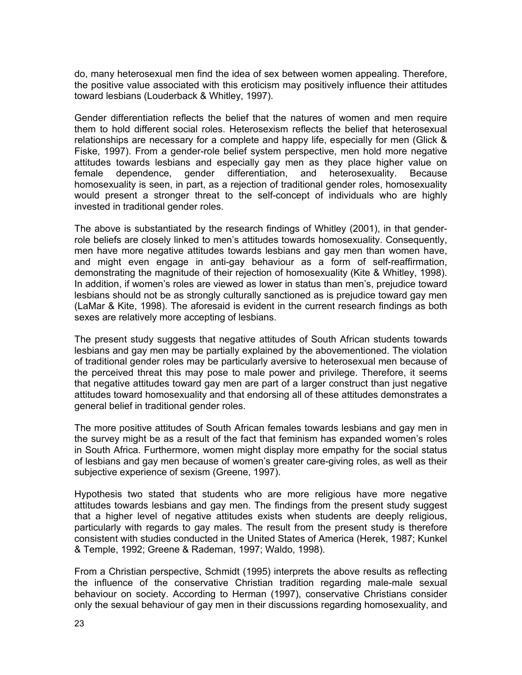do, many heterosexual men find the idea of sex between women appealing. Therefore, the positive value associated with this eroticism may positively influence their attitudes toward lesbians (Louderback & Whitley, 1997).

Gender differentiation reflects the belief that the natures of women and men require them to hold different social roles. Heterosexism reflects the belief that heterosexual relationships are necessary for a complete and happy life, especially for men (Glick & Fiske, 1997). From a gender-role belief system perspective, men hold more negative attitudes towards lesbians and especially gay men as they place higher value on female dependence, gender differentiation, and heterosexuality. Because homosexuality is seen, in part, as a rejection of traditional gender roles, homosexuality would present a stronger threat to the self-concept of individuals who are highly invested in traditional gender roles.

The above is substantiated by the research findings of Whitley (2001), in that genderrole beliefs are closely linked to men's attitudes towards homosexuality. Consequently, men have more negative attitudes towards lesbians and gay men than women have, and might even engage in anti-gay behaviour as a form of self-reaffirmation, demonstrating the magnitude of their rejection of homosexuality (Kite & Whitley, 1998). In addition, if women's roles are viewed as lower in status than men's, prejudice toward lesbians should not be as strongly culturally sanctioned as is prejudice toward gay men (LaMar & Kite, 1998). The aforesaid is evident in the current research findings as both sexes are relatively more accepting of lesbians.

The present study suggests that negative attitudes of South African students towards lesbians and gay men may be partially explained by the abovementioned. The violation of traditional gender roles may be particularly aversive to heterosexual men because of the perceived threat this may pose to male power and privilege. Therefore, it seems that negative attitudes toward gay men are part of a larger construct than just negative attitudes toward homosexuality and that endorsing all of these attitudes demonstrates a general belief in traditional gender roles.

The more positive attitudes of South African females towards lesbians and gay men in the survey might be as a result of the fact that feminism has expanded women's roles in South Africa. Furthermore, women might display more empathy for the social status of lesbians and gay men because of women's greater care-giving roles, as well as their subjective experience of sexism (Greene, 1997).

Hypothesis two stated that students who are more religious have more negative attitudes towards lesbians and gay men. The findings from the present study suggest that a higher level of negative attitudes exists when students are deeply religious, particularly with regards to gay males. The result from the present study is therefore consistent with studies conducted in the United States of America (Herek, 1987; Kunkel & Temple, 1992; Greene & Rademan, 1997; Waldo, 1998).

From a Christian perspective, Schmidt (1995) interprets the above results as reflecting the influence of the conservative Christian tradition regarding male-male sexual behaviour on society. According to Herman (1997), conservative Christians consider only the sexual behaviour of gay men in their discussions regarding homosexuality, and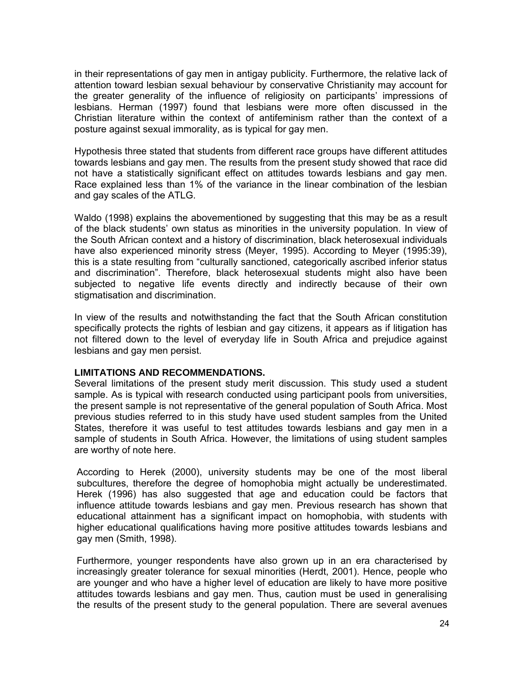in their representations of gay men in antigay publicity. Furthermore, the relative lack of attention toward lesbian sexual behaviour by conservative Christianity may account for the greater generality of the influence of religiosity on participants' impressions of lesbians. Herman (1997) found that lesbians were more often discussed in the Christian literature within the context of antifeminism rather than the context of a posture against sexual immorality, as is typical for gay men.

Hypothesis three stated that students from different race groups have different attitudes towards lesbians and gay men. The results from the present study showed that race did not have a statistically significant effect on attitudes towards lesbians and gay men. Race explained less than 1% of the variance in the linear combination of the lesbian and gay scales of the ATLG.

Waldo (1998) explains the abovementioned by suggesting that this may be as a result of the black students' own status as minorities in the university population. In view of the South African context and a history of discrimination, black heterosexual individuals have also experienced minority stress (Meyer, 1995). According to Meyer (1995:39), this is a state resulting from "culturally sanctioned, categorically ascribed inferior status and discrimination". Therefore, black heterosexual students might also have been subjected to negative life events directly and indirectly because of their own stigmatisation and discrimination.

In view of the results and notwithstanding the fact that the South African constitution specifically protects the rights of lesbian and gay citizens, it appears as if litigation has not filtered down to the level of everyday life in South Africa and prejudice against lesbians and gay men persist.

# **LIMITATIONS AND RECOMMENDATIONS.**

Several limitations of the present study merit discussion. This study used a student sample. As is typical with research conducted using participant pools from universities, the present sample is not representative of the general population of South Africa. Most previous studies referred to in this study have used student samples from the United States, therefore it was useful to test attitudes towards lesbians and gay men in a sample of students in South Africa. However, the limitations of using student samples are worthy of note here.

According to Herek (2000), university students may be one of the most liberal subcultures, therefore the degree of homophobia might actually be underestimated. Herek (1996) has also suggested that age and education could be factors that influence attitude towards lesbians and gay men. Previous research has shown that educational attainment has a significant impact on homophobia, with students with higher educational qualifications having more positive attitudes towards lesbians and gay men (Smith, 1998).

Furthermore, younger respondents have also grown up in an era characterised by increasingly greater tolerance for sexual minorities (Herdt, 2001). Hence, people who are younger and who have a higher level of education are likely to have more positive attitudes towards lesbians and gay men. Thus, caution must be used in generalising the results of the present study to the general population. There are several avenues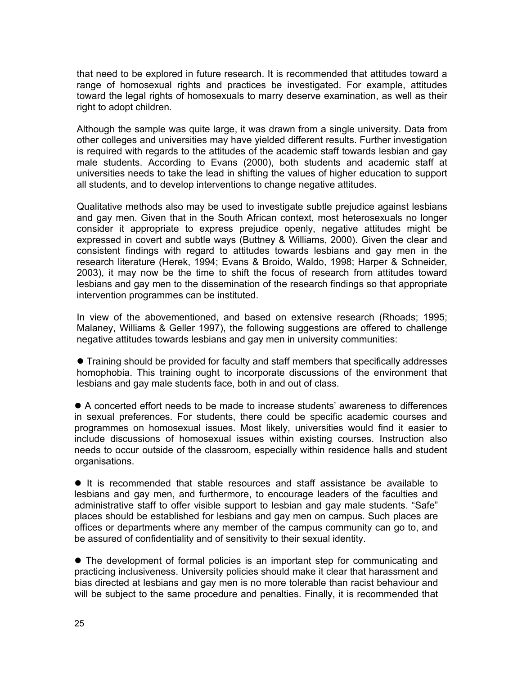that need to be explored in future research. It is recommended that attitudes toward a range of homosexual rights and practices be investigated. For example, attitudes toward the legal rights of homosexuals to marry deserve examination, as well as their right to adopt children.

Although the sample was quite large, it was drawn from a single university. Data from other colleges and universities may have yielded different results. Further investigation is required with regards to the attitudes of the academic staff towards lesbian and gay male students. According to Evans (2000), both students and academic staff at universities needs to take the lead in shifting the values of higher education to support all students, and to develop interventions to change negative attitudes.

Qualitative methods also may be used to investigate subtle prejudice against lesbians and gay men. Given that in the South African context, most heterosexuals no longer consider it appropriate to express prejudice openly, negative attitudes might be expressed in covert and subtle ways (Buttney & Williams, 2000). Given the clear and consistent findings with regard to attitudes towards lesbians and gay men in the research literature (Herek, 1994; Evans & Broido, Waldo, 1998; Harper & Schneider, 2003), it may now be the time to shift the focus of research from attitudes toward lesbians and gay men to the dissemination of the research findings so that appropriate intervention programmes can be instituted.

In view of the abovementioned, and based on extensive research (Rhoads; 1995; Malaney, Williams & Geller 1997), the following suggestions are offered to challenge negative attitudes towards lesbians and gay men in university communities:

• Training should be provided for faculty and staff members that specifically addresses homophobia. This training ought to incorporate discussions of the environment that lesbians and gay male students face, both in and out of class.

 $\bullet$  A concerted effort needs to be made to increase students' awareness to differences in sexual preferences. For students, there could be specific academic courses and programmes on homosexual issues. Most likely, universities would find it easier to include discussions of homosexual issues within existing courses. Instruction also needs to occur outside of the classroom, especially within residence halls and student organisations.

• It is recommended that stable resources and staff assistance be available to lesbians and gay men, and furthermore, to encourage leaders of the faculties and administrative staff to offer visible support to lesbian and gay male students. "Safe" places should be established for lesbians and gay men on campus. Such places are offices or departments where any member of the campus community can go to, and be assured of confidentiality and of sensitivity to their sexual identity.

• The development of formal policies is an important step for communicating and practicing inclusiveness. University policies should make it clear that harassment and bias directed at lesbians and gay men is no more tolerable than racist behaviour and will be subject to the same procedure and penalties. Finally, it is recommended that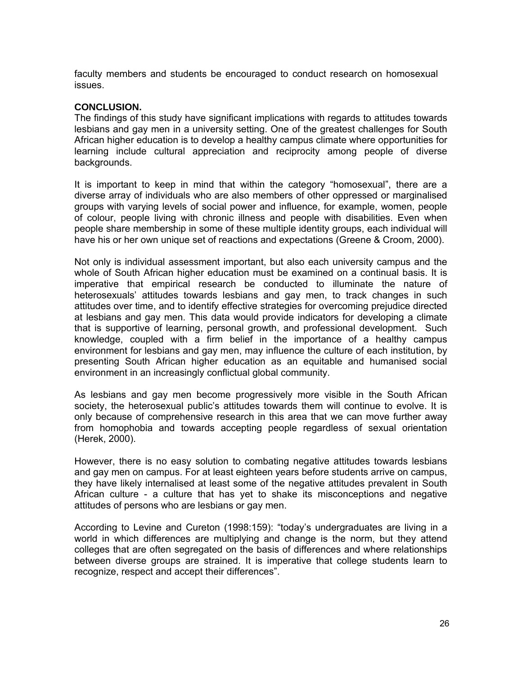faculty members and students be encouraged to conduct research on homosexual issues.

## **CONCLUSION.**

The findings of this study have significant implications with regards to attitudes towards lesbians and gay men in a university setting. One of the greatest challenges for South African higher education is to develop a healthy campus climate where opportunities for learning include cultural appreciation and reciprocity among people of diverse backgrounds.

It is important to keep in mind that within the category "homosexual", there are a diverse array of individuals who are also members of other oppressed or marginalised groups with varying levels of social power and influence, for example, women, people of colour, people living with chronic illness and people with disabilities. Even when people share membership in some of these multiple identity groups, each individual will have his or her own unique set of reactions and expectations (Greene & Croom, 2000).

Not only is individual assessment important, but also each university campus and the whole of South African higher education must be examined on a continual basis. It is imperative that empirical research be conducted to illuminate the nature of heterosexuals' attitudes towards lesbians and gay men, to track changes in such attitudes over time, and to identify effective strategies for overcoming prejudice directed at lesbians and gay men. This data would provide indicators for developing a climate that is supportive of learning, personal growth, and professional development. Such knowledge, coupled with a firm belief in the importance of a healthy campus environment for lesbians and gay men, may influence the culture of each institution, by presenting South African higher education as an equitable and humanised social environment in an increasingly conflictual global community.

As lesbians and gay men become progressively more visible in the South African society, the heterosexual public's attitudes towards them will continue to evolve. It is only because of comprehensive research in this area that we can move further away from homophobia and towards accepting people regardless of sexual orientation (Herek, 2000).

However, there is no easy solution to combating negative attitudes towards lesbians and gay men on campus. For at least eighteen years before students arrive on campus, they have likely internalised at least some of the negative attitudes prevalent in South African culture - a culture that has yet to shake its misconceptions and negative attitudes of persons who are lesbians or gay men.

According to Levine and Cureton (1998:159): "today's undergraduates are living in a world in which differences are multiplying and change is the norm, but they attend colleges that are often segregated on the basis of differences and where relationships between diverse groups are strained. It is imperative that college students learn to recognize, respect and accept their differences".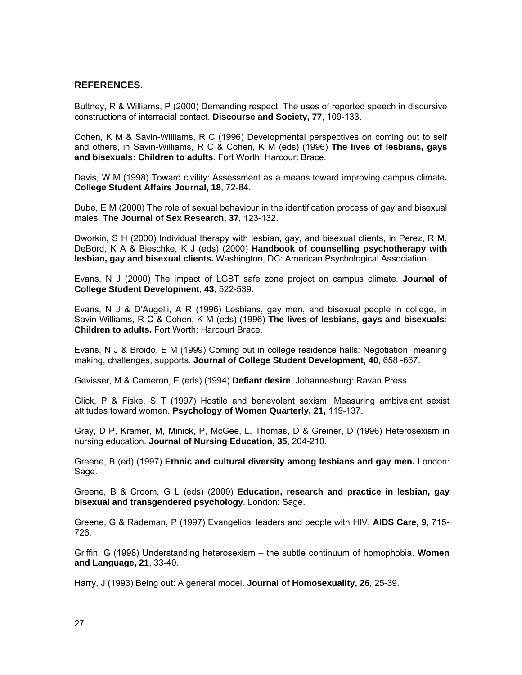## **REFERENCES.**

Buttney, R & Williams, P (2000) Demanding respect: The uses of reported speech in discursive constructions of interracial contact. **Discourse and Society, 77**, 109-133.

Cohen, K M & Savin-Williams, R C (1996) Developmental perspectives on coming out to self and others, in Savin-Williams, R C & Cohen, K M (eds) (1996) **The lives of lesbians, gays and bisexuals: Children to adults.** Fort Worth: Harcourt Brace.

Davis, W M (1998) Toward civility: Assessment as a means toward improving campus climate**. College Student Affairs Journal, 18**, 72-84.

Dube, E M (2000) The role of sexual behaviour in the identification process of gay and bisexual males. **The Journal of Sex Research, 37**, 123-132.

Dworkin, S H (2000) Individual therapy with lesbian, gay, and bisexual clients, in Perez, R M, DeBord, K A & Bieschke, K J (eds) (2000) **Handbook of counselling psychotherapy with lesbian, gay and bisexual clients.** Washington, DC: American Psychological Association.

Evans, N J (2000) The impact of LGBT safe zone project on campus climate. **Journal of College Student Development, 43**, 522-539.

Evans, N J & D'Augelli, A R (1996) Lesbians, gay men, and bisexual people in college, in Savin-Williams, R C & Cohen, K M (eds) (1996) **The lives of lesbians, gays and bisexuals: Children to adults.** Fort Worth: Harcourt Brace.

Evans, N J & Broido, E M (1999) Coming out in college residence halls: Negotiation, meaning making, challenges, supports. **Journal of College Student Development, 40**, 658 -667.

Gevisser, M & Cameron, E (eds) (1994) **Defiant desire**. Johannesburg: Ravan Press.

Glick, P & Fiske, S T (1997) Hostile and benevolent sexism: Measuring ambivalent sexist attitudes toward women. **Psychology of Women Quarterly, 21,** 119-137.

Gray, D P, Kramer, M, Minick, P, McGee, L, Thomas, D & Greiner, D (1996) Heterosexism in nursing education. **Journal of Nursing Education, 35**, 204-210.

Greene, B (ed) (1997) **Ethnic and cultural diversity among lesbians and gay men.** London: Sage.

Greene, B & Croom, G L (eds) (2000) **Education, research and practice in lesbian, gay bisexual and transgendered psychology**. London: Sage.

Greene, G & Rademan, P (1997) Evangelical leaders and people with HIV. **AIDS Care, 9**, 715- 726.

Griffin, G (1998) Understanding heterosexism – the subtle continuum of homophobia. **Women and Language, 21**, 33-40.

Harry, J (1993) Being out: A general model. **Journal of Homosexuality, 26**, 25-39.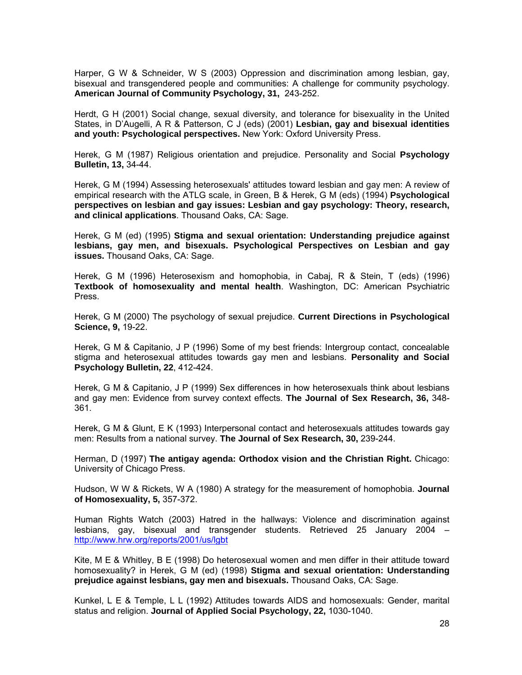Harper, G W & Schneider, W S (2003) Oppression and discrimination among lesbian, gay, bisexual and transgendered people and communities: A challenge for community psychology. **American Journal of Community Psychology, 31,** 243-252.

Herdt, G H (2001) Social change, sexual diversity, and tolerance for bisexuality in the United States, in D'Augelli, A R & Patterson, C J (eds) (2001) **Lesbian, gay and bisexual identities and youth: Psychological perspectives.** New York: Oxford University Press.

Herek, G M (1987) Religious orientation and prejudice. Personality and Social **Psychology Bulletin, 13,** 34-44.

Herek, G M (1994) Assessing heterosexuals' attitudes toward lesbian and gay men: A review of empirical research with the ATLG scale, in Green, B & Herek, G M (eds) (1994) **Psychological perspectives on lesbian and gay issues: Lesbian and gay psychology: Theory, research, and clinical applications**. Thousand Oaks, CA: Sage.

Herek, G M (ed) (1995) **Stigma and sexual orientation: Understanding prejudice against lesbians, gay men, and bisexuals. Psychological Perspectives on Lesbian and gay issues.** Thousand Oaks, CA: Sage.

Herek, G M (1996) Heterosexism and homophobia, in Cabaj, R & Stein, T (eds) (1996) **Textbook of homosexuality and mental health**. Washington, DC: American Psychiatric Press.

Herek, G M (2000) The psychology of sexual prejudice. **Current Directions in Psychological Science, 9,** 19-22.

Herek, G M & Capitanio, J P (1996) Some of my best friends: Intergroup contact, concealable stigma and heterosexual attitudes towards gay men and lesbians. **Personality and Social Psychology Bulletin, 22**, 412-424.

Herek, G M & Capitanio, J P (1999) Sex differences in how heterosexuals think about lesbians and gay men: Evidence from survey context effects. **The Journal of Sex Research, 36,** 348- 361.

Herek, G M & Glunt, E K (1993) Interpersonal contact and heterosexuals attitudes towards gay men: Results from a national survey. **The Journal of Sex Research, 30,** 239-244.

Herman, D (1997) **The antigay agenda: Orthodox vision and the Christian Right.** Chicago: University of Chicago Press.

Hudson, W W & Rickets, W A (1980) A strategy for the measurement of homophobia. **Journal of Homosexuality, 5,** 357-372.

Human Rights Watch (2003) Hatred in the hallways: Violence and discrimination against lesbians, gay, bisexual and transgender students. Retrieved 25 January 2004 – http://www.hrw.org/reports/2001/us/lgbt

Kite, M E & Whitley, B E (1998) Do heterosexual women and men differ in their attitude toward homosexuality? in Herek, G M (ed) (1998) **Stigma and sexual orientation: Understanding prejudice against lesbians, gay men and bisexuals.** Thousand Oaks, CA: Sage.

Kunkel, L E & Temple, L L (1992) Attitudes towards AIDS and homosexuals: Gender, marital status and religion. **Journal of Applied Social Psychology, 22,** 1030-1040.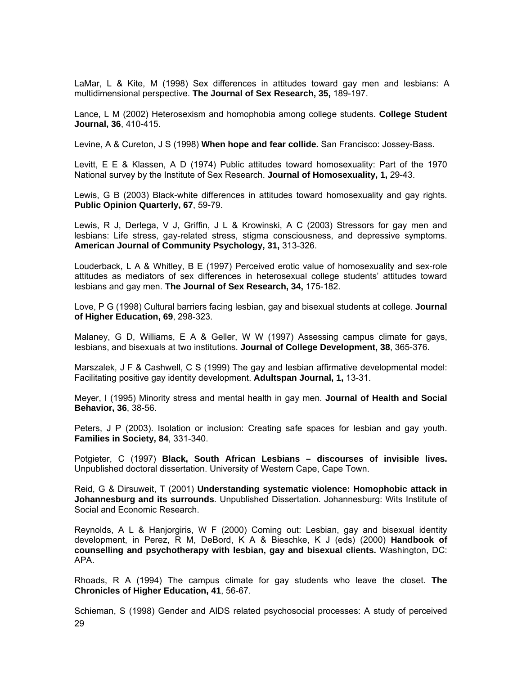LaMar, L & Kite, M (1998) Sex differences in attitudes toward gay men and lesbians: A multidimensional perspective. **The Journal of Sex Research, 35,** 189-197.

Lance, L M (2002) Heterosexism and homophobia among college students. **College Student Journal, 36**, 410-415.

Levine, A & Cureton, J S (1998) **When hope and fear collide.** San Francisco: Jossey-Bass.

Levitt, E E & Klassen, A D (1974) Public attitudes toward homosexuality: Part of the 1970 National survey by the Institute of Sex Research. **Journal of Homosexuality, 1,** 29-43.

Lewis, G B (2003) Black-white differences in attitudes toward homosexuality and gay rights. **Public Opinion Quarterly, 67**, 59-79.

Lewis, R J, Derlega, V J, Griffin, J L & Krowinski, A C (2003) Stressors for gay men and lesbians: Life stress, gay-related stress, stigma consciousness, and depressive symptoms. **American Journal of Community Psychology, 31,** 313-326.

Louderback, L A & Whitley, B E (1997) Perceived erotic value of homosexuality and sex-role attitudes as mediators of sex differences in heterosexual college students' attitudes toward lesbians and gay men. **The Journal of Sex Research, 34,** 175-182.

Love, P G (1998) Cultural barriers facing lesbian, gay and bisexual students at college. **Journal of Higher Education, 69**, 298-323.

Malaney, G D, Williams, E A & Geller, W W (1997) Assessing campus climate for gays, lesbians, and bisexuals at two institutions. **Journal of College Development, 38**, 365-376.

Marszalek, J F & Cashwell, C S (1999) The gay and lesbian affirmative developmental model: Facilitating positive gay identity development. **Adultspan Journal, 1,** 13-31.

Meyer, I (1995) Minority stress and mental health in gay men. **Journal of Health and Social Behavior, 36**, 38-56.

Peters, J P (2003). Isolation or inclusion: Creating safe spaces for lesbian and gay youth. **Families in Society, 84**, 331-340.

Potgieter, C (1997) **Black, South African Lesbians – discourses of invisible lives.** Unpublished doctoral dissertation. University of Western Cape, Cape Town.

Reid, G & Dirsuweit, T (2001) **Understanding systematic violence: Homophobic attack in Johannesburg and its surrounds**. Unpublished Dissertation. Johannesburg: Wits Institute of Social and Economic Research.

Reynolds, A L & Hanjorgiris, W F (2000) Coming out: Lesbian, gay and bisexual identity development, in Perez, R M, DeBord, K A & Bieschke, K J (eds) (2000) **Handbook of counselling and psychotherapy with lesbian, gay and bisexual clients.** Washington, DC: APA.

Rhoads, R A (1994) The campus climate for gay students who leave the closet. **The Chronicles of Higher Education, 41**, 56-67.

29 Schieman, S (1998) Gender and AIDS related psychosocial processes: A study of perceived